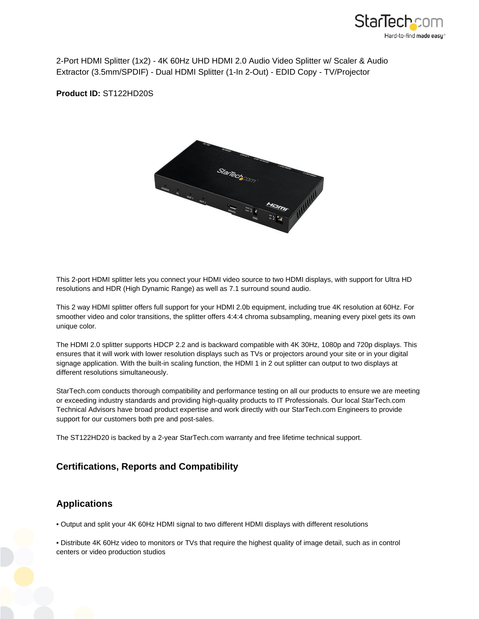

2-Port HDMI Splitter (1x2) - 4K 60Hz UHD HDMI 2.0 Audio Video Splitter w/ Scaler & Audio Extractor (3.5mm/SPDIF) - Dual HDMI Splitter (1-In 2-Out) - EDID Copy - TV/Projector

**Product ID:** ST122HD20S



This 2-port HDMI splitter lets you connect your HDMI video source to two HDMI displays, with support for Ultra HD resolutions and HDR (High Dynamic Range) as well as 7.1 surround sound audio.

This 2 way HDMI splitter offers full support for your HDMI 2.0b equipment, including true 4K resolution at 60Hz. For smoother video and color transitions, the splitter offers 4:4:4 chroma subsampling, meaning every pixel gets its own unique color.

The HDMI 2.0 splitter supports HDCP 2.2 and is backward compatible with 4K 30Hz, 1080p and 720p displays. This ensures that it will work with lower resolution displays such as TVs or projectors around your site or in your digital signage application. With the built-in scaling function, the HDMI 1 in 2 out splitter can output to two displays at different resolutions simultaneously.

StarTech.com conducts thorough compatibility and performance testing on all our products to ensure we are meeting or exceeding industry standards and providing high-quality products to IT Professionals. Our local StarTech.com Technical Advisors have broad product expertise and work directly with our StarTech.com Engineers to provide support for our customers both pre and post-sales.

The ST122HD20 is backed by a 2-year StarTech.com warranty and free lifetime technical support.

## **Certifications, Reports and Compatibility**

## **Applications**

• Output and split your 4K 60Hz HDMI signal to two different HDMI displays with different resolutions

• Distribute 4K 60Hz video to monitors or TVs that require the highest quality of image detail, such as in control centers or video production studios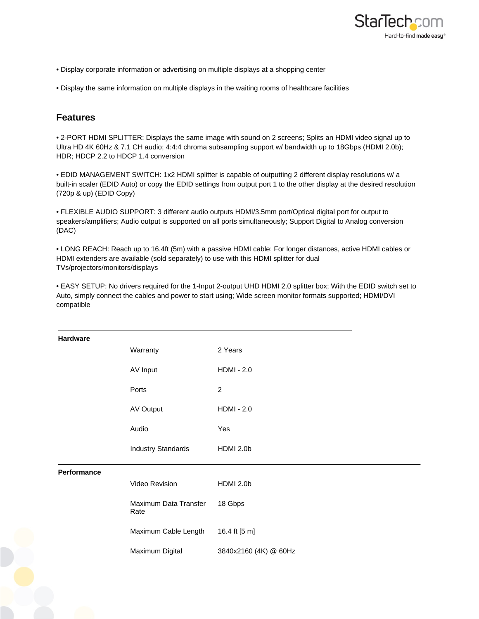

- Display corporate information or advertising on multiple displays at a shopping center
- Display the same information on multiple displays in the waiting rooms of healthcare facilities

## **Features**

• 2-PORT HDMI SPLITTER: Displays the same image with sound on 2 screens; Splits an HDMI video signal up to Ultra HD 4K 60Hz & 7.1 CH audio; 4:4:4 chroma subsampling support w/ bandwidth up to 18Gbps (HDMI 2.0b); HDR; HDCP 2.2 to HDCP 1.4 conversion

• EDID MANAGEMENT SWITCH: 1x2 HDMI splitter is capable of outputting 2 different display resolutions w/ a built-in scaler (EDID Auto) or copy the EDID settings from output port 1 to the other display at the desired resolution (720p & up) (EDID Copy)

• FLEXIBLE AUDIO SUPPORT: 3 different audio outputs HDMI/3.5mm port/Optical digital port for output to speakers/amplifiers; Audio output is supported on all ports simultaneously; Support Digital to Analog conversion (DAC)

• LONG REACH: Reach up to 16.4ft (5m) with a passive HDMI cable; For longer distances, active HDMI cables or HDMI extenders are available (sold separately) to use with this HDMI splitter for dual TVs/projectors/monitors/displays

• EASY SETUP: No drivers required for the 1-Input 2-output UHD HDMI 2.0 splitter box; With the EDID switch set to Auto, simply connect the cables and power to start using; Wide screen monitor formats supported; HDMI/DVI compatible

| Hardware    |                               |                       |
|-------------|-------------------------------|-----------------------|
|             | Warranty                      | 2 Years               |
|             | AV Input                      | <b>HDMI - 2.0</b>     |
|             | Ports                         | $\overline{c}$        |
|             | AV Output                     | <b>HDMI - 2.0</b>     |
|             | Audio                         | Yes                   |
|             | <b>Industry Standards</b>     | HDMI 2.0b             |
| Performance |                               |                       |
|             | Video Revision                | HDMI 2.0b             |
|             | Maximum Data Transfer<br>Rate | 18 Gbps               |
|             | Maximum Cable Length          | 16.4 ft [5 m]         |
|             | Maximum Digital               | 3840x2160 (4K) @ 60Hz |
|             |                               |                       |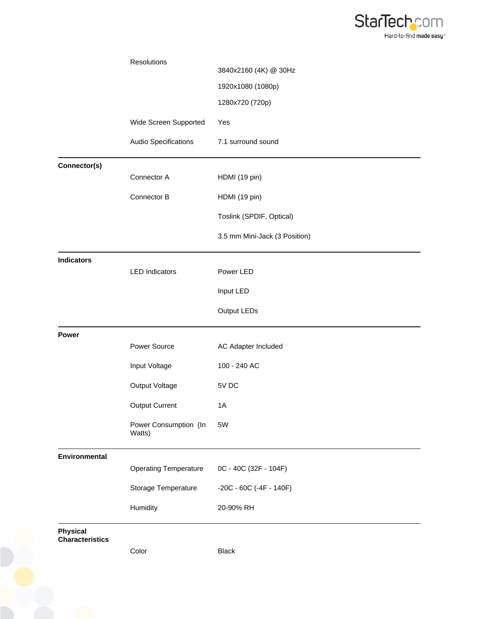

|                                           | Resolutions                     |                               |
|-------------------------------------------|---------------------------------|-------------------------------|
|                                           |                                 | 3840x2160 (4K) @ 30Hz         |
|                                           |                                 | 1920x1080 (1080p)             |
|                                           |                                 | 1280x720 (720p)               |
|                                           | Wide Screen Supported           | Yes                           |
|                                           | Audio Specifications            | 7.1 surround sound            |
| Connector(s)                              |                                 |                               |
|                                           | Connector A                     | HDMI (19 pin)                 |
|                                           | Connector B                     | HDMI (19 pin)                 |
|                                           |                                 | Toslink (SPDIF, Optical)      |
|                                           |                                 | 3.5 mm Mini-Jack (3 Position) |
| <b>Indicators</b>                         | <b>LED Indicators</b>           | Power LED                     |
|                                           |                                 |                               |
|                                           |                                 | Input LED                     |
|                                           |                                 | Output LEDs                   |
| Power                                     |                                 |                               |
|                                           | Power Source                    | AC Adapter Included           |
|                                           | Input Voltage                   | 100 - 240 AC                  |
|                                           | Output Voltage                  | 5V DC                         |
|                                           | <b>Output Current</b>           | 1A                            |
|                                           | Power Consumption (In<br>Watts) | 5W                            |
| <b>Environmental</b>                      |                                 |                               |
|                                           | <b>Operating Temperature</b>    | 0C - 40C (32F - 104F)         |
|                                           | Storage Temperature             | $-20C - 60C$ $(-4F - 140F)$   |
|                                           | Humidity                        | 20-90% RH                     |
| <b>Physical</b><br><b>Characteristics</b> |                                 |                               |
|                                           | Color                           | <b>Black</b>                  |